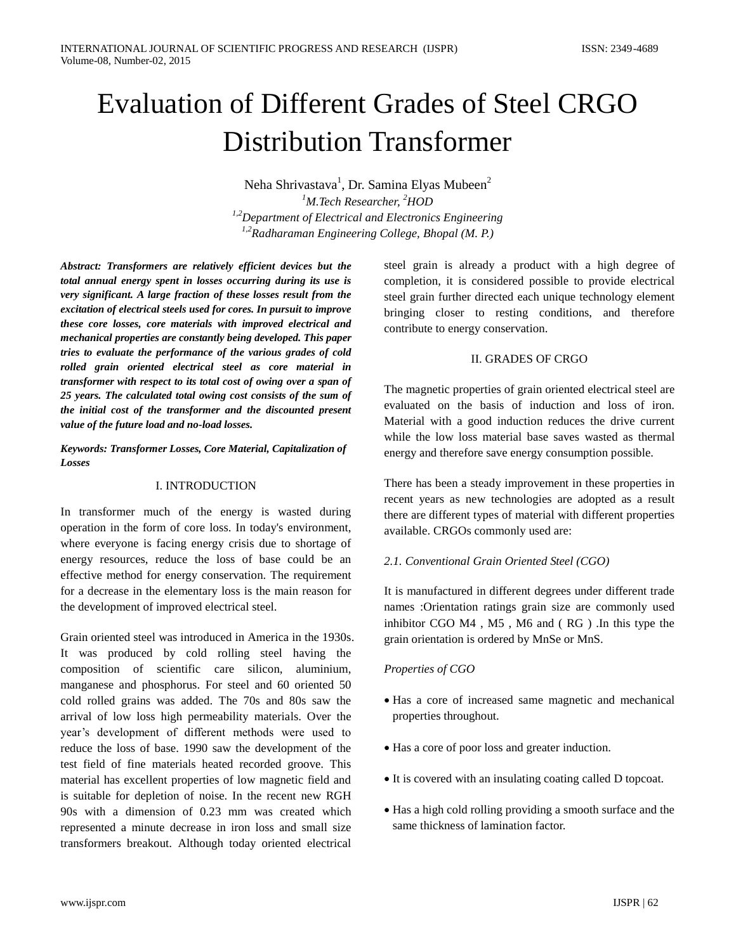# Evaluation of Different Grades of Steel CRGO Distribution Transformer

Neha Shrivastava<sup>1</sup>, Dr. Samina Elyas Mubeen<sup>2</sup> *<sup>1</sup>M.Tech Researcher, <sup>2</sup>HOD 1,2Department of Electrical and Electronics Engineering 1,2Radharaman Engineering College, Bhopal (M. P.)*

*Abstract: Transformers are relatively efficient devices but the total annual energy spent in losses occurring during its use is very significant. A large fraction of these losses result from the excitation of electrical steels used for cores. In pursuit to improve these core losses, core materials with improved electrical and mechanical properties are constantly being developed. This paper tries to evaluate the performance of the various grades of cold rolled grain oriented electrical steel as core material in transformer with respect to its total cost of owing over a span of 25 years. The calculated total owing cost consists of the sum of the initial cost of the transformer and the discounted present value of the future load and no-load losses.*

### *Keywords: Transformer Losses, Core Material, Capitalization of Losses*

#### I. INTRODUCTION

In transformer much of the energy is wasted during operation in the form of core loss. In today's environment, where everyone is facing energy crisis due to shortage of energy resources, reduce the loss of base could be an effective method for energy conservation. The requirement for a decrease in the elementary loss is the main reason for the development of improved electrical steel.

Grain oriented steel was introduced in America in the 1930s. It was produced by cold rolling steel having the composition of scientific care silicon, aluminium, manganese and phosphorus. For steel and 60 oriented 50 cold rolled grains was added. The 70s and 80s saw the arrival of low loss high permeability materials. Over the year's development of different methods were used to reduce the loss of base. 1990 saw the development of the test field of fine materials heated recorded groove. This material has excellent properties of low magnetic field and is suitable for depletion of noise. In the recent new RGH 90s with a dimension of 0.23 mm was created which represented a minute decrease in iron loss and small size transformers breakout. Although today oriented electrical

steel grain is already a product with a high degree of completion, it is considered possible to provide electrical steel grain further directed each unique technology element bringing closer to resting conditions, and therefore contribute to energy conservation.

#### II. GRADES OF CRGO

The magnetic properties of grain oriented electrical steel are evaluated on the basis of induction and loss of iron. Material with a good induction reduces the drive current while the low loss material base saves wasted as thermal energy and therefore save energy consumption possible.

There has been a steady improvement in these properties in recent years as new technologies are adopted as a result there are different types of material with different properties available. CRGOs commonly used are:

# *2.1. Conventional Grain Oriented Steel (CGO)*

It is manufactured in different degrees under different trade names :Orientation ratings grain size are commonly used inhibitor CGO M4 , M5 , M6 and ( RG ) .In this type the grain orientation is ordered by MnSe or MnS.

# *Properties of CGO*

- Has a core of increased same magnetic and mechanical properties throughout.
- Has a core of poor loss and greater induction.
- It is covered with an insulating coating called D topcoat.
- Has a high cold rolling providing a smooth surface and the same thickness of lamination factor.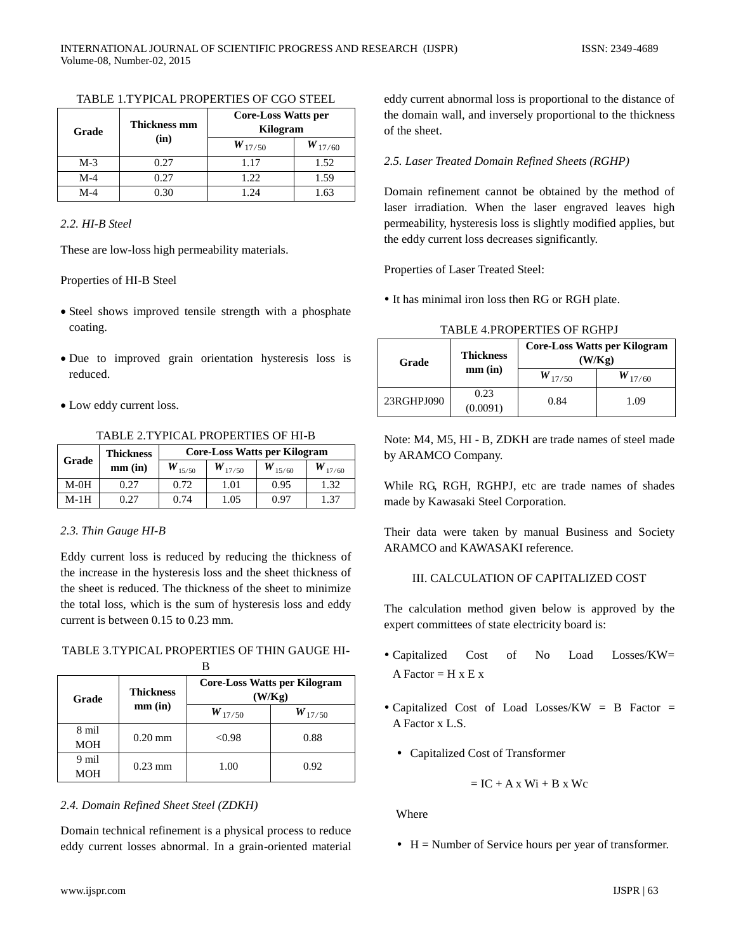| Grade | Thickness mm | <b>Core-Loss Watts per</b><br>Kilogram |      |
|-------|--------------|----------------------------------------|------|
|       | (in)         | $W_{17/50}$<br>$W_{17/60}$             |      |
| $M-3$ | 0.27         | 1.17                                   | 1.52 |
| $M-4$ | 0.27         | 1.22                                   | 1.59 |
| $M-4$ | D. 30        | $\sqrt{24}$                            | 1.63 |

#### TABLE 1.TYPICAL PROPERTIES OF CGO STEEL

# *2.2. HI-B Steel*

These are low-loss high permeability materials.

#### Properties of HI-B Steel

- Steel shows improved tensile strength with a phosphate coating.
- Due to improved grain orientation hysteresis loss is reduced.
- Low eddy current loss.

TABLE 2.TYPICAL PROPERTIES OF HI-B

|        | <b>Thickness</b> | <b>Core-Loss Watts per Kilogram</b> |             |             |       |  |
|--------|------------------|-------------------------------------|-------------|-------------|-------|--|
| Grade  | $mm$ $(in)$      | 15/50                               | $W_{17/50}$ | $W_{15/60}$ | 17/60 |  |
| $M-0H$ | 0.27             | 0.72                                | 1.01        | 0.95        | .32   |  |
| M-1H   | 0.27             | 0.74                                | 1.05        | 0.97        | 1.37  |  |

# *2.3. Thin Gauge HI-B*

Eddy current loss is reduced by reducing the thickness of the increase in the hysteresis loss and the sheet thickness of the sheet is reduced. The thickness of the sheet to minimize the total loss, which is the sum of hysteresis loss and eddy current is between 0.15 to 0.23 mm.

TABLE 3.TYPICAL PROPERTIES OF THIN GAUGE HI-

| Grade      | <b>Thickness</b> | <b>Core-Loss Watts per Kilogram</b><br>(W/Kg) |      |  |
|------------|------------------|-----------------------------------------------|------|--|
|            | $mm$ $(in)$      | $W_{17/50}$<br>$W_{17/50}$                    |      |  |
| 8 mil      | $0.20$ mm        | < 0.98                                        | 0.88 |  |
| <b>MOH</b> |                  |                                               |      |  |
| 9 mil      | $0.23$ mm        | 1.00                                          | 0.92 |  |
| <b>MOH</b> |                  |                                               |      |  |

# *2.4. Domain Refined Sheet Steel (ZDKH)*

Domain technical refinement is a physical process to reduce eddy current losses abnormal. In a grain-oriented material eddy current abnormal loss is proportional to the distance of the domain wall, and inversely proportional to the thickness of the sheet.

# *2.5. Laser Treated Domain Refined Sheets (RGHP)*

Domain refinement cannot be obtained by the method of laser irradiation. When the laser engraved leaves high permeability, hysteresis loss is slightly modified applies, but the eddy current loss decreases significantly.

Properties of Laser Treated Steel:

It has minimal iron loss then RG or RGH plate.

| Grade      | <b>Thickness</b> |             | Core-Loss Watts per Kilogram<br>(W/Kg) |
|------------|------------------|-------------|----------------------------------------|
|            | $mm$ (in)        | $W_{17/50}$ | $W_{17/60}$                            |
| 23RGHPJ090 | 0.23<br>(0.0091) | 0.84        | 1.09                                   |

TABLE 4.PROPERTIES OF RGHPJ

Note: M4, M5, HI - B, ZDKH are trade names of steel made by ARAMCO Company.

While RG, RGH, RGHPJ, etc are trade names of shades made by Kawasaki Steel Corporation.

Their data were taken by manual Business and Society ARAMCO and KAWASAKI reference.

# III. CALCULATION OF CAPITALIZED COST

The calculation method given below is approved by the expert committees of state electricity board is:

- Capitalized Cost of No Load Losses/KW= A Factor  $=$  H x E x
- Capitalized Cost of Load Losses/KW = B Factor = A Factor x L.S.
	- Capitalized Cost of Transformer

$$
= IC + A\,x\,\, Wi + B\,x\,\, Wc
$$

Where

 $H =$  Number of Service hours per year of transformer.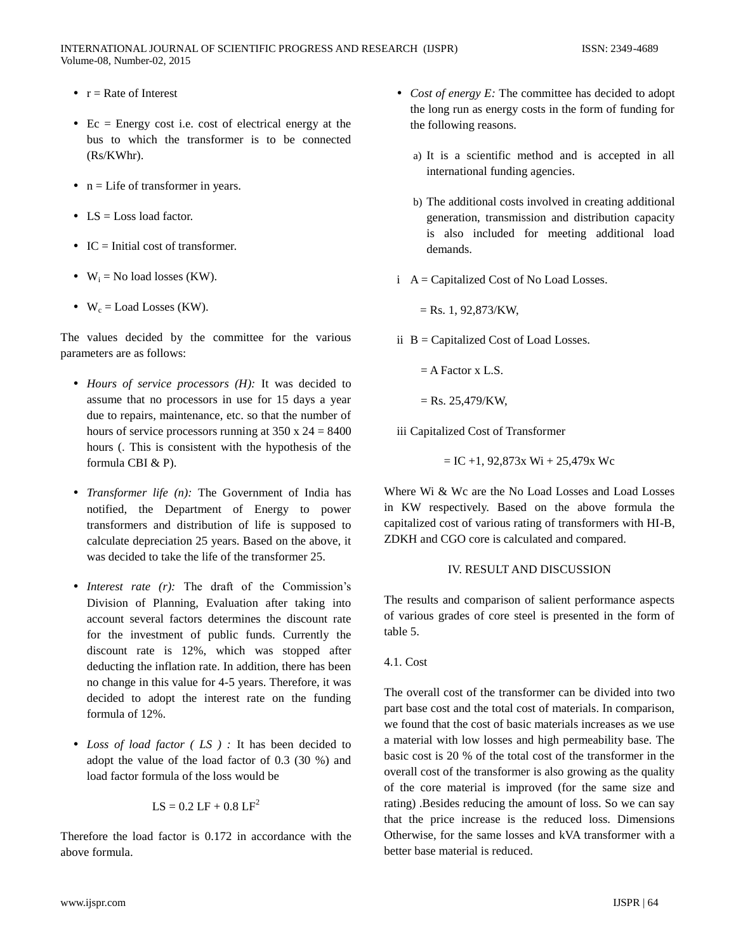- $r =$ Rate of Interest
- $\bullet$  Ec = Energy cost i.e. cost of electrical energy at the bus to which the transformer is to be connected (Rs/KWhr).
- $\bullet$  n = Life of transformer in years.
- $\bullet$  LS = Loss load factor.
- $IC = Initial cost of transformer.$
- $\bullet$  W<sub>i</sub> = No load losses (KW).
- $W_c =$ Load Losses (KW).

The values decided by the committee for the various parameters are as follows:

- *Hours of service processors (H):* It was decided to assume that no processors in use for 15 days a year due to repairs, maintenance, etc. so that the number of hours of service processors running at  $350 \times 24 = 8400$ hours (. This is consistent with the hypothesis of the formula CBI & P).
- *Transformer life (n):* The Government of India has notified, the Department of Energy to power transformers and distribution of life is supposed to calculate depreciation 25 years. Based on the above, it was decided to take the life of the transformer 25.
- *Interest rate (r)*: The draft of the Commission's Division of Planning, Evaluation after taking into account several factors determines the discount rate for the investment of public funds. Currently the discount rate is 12%, which was stopped after deducting the inflation rate. In addition, there has been no change in this value for 4-5 years. Therefore, it was decided to adopt the interest rate on the funding formula of 12%.
- *Loss of load factor ( LS ) :* It has been decided to adopt the value of the load factor of 0.3 (30 %) and load factor formula of the loss would be

$$
LS = 0.2 LF + 0.8 LF^2
$$

Therefore the load factor is 0.172 in accordance with the above formula.

- *Cost of energy E:* The committee has decided to adopt the long run as energy costs in the form of funding for the following reasons.
	- a) It is a scientific method and is accepted in all international funding agencies.
	- b) The additional costs involved in creating additional generation, transmission and distribution capacity is also included for meeting additional load demands.
- $i \, A =$  Capitalized Cost of No Load Losses.

 $=$  Rs. 1, 92,873/KW,

- ii  $B =$  Capitalized Cost of Load Losses.
	- $=$  A Factor x L.S.

 $=$  Rs. 25,479/KW,

iii Capitalized Cost of Transformer

 $=$  IC +1, 92,873x Wi + 25,479x Wc

Where Wi & Wc are the No Load Losses and Load Losses in KW respectively. Based on the above formula the capitalized cost of various rating of transformers with HI-B, ZDKH and CGO core is calculated and compared.

#### IV. RESULT AND DISCUSSION

The results and comparison of salient performance aspects of various grades of core steel is presented in the form of table 5.

# 4.1. Cost

The overall cost of the transformer can be divided into two part base cost and the total cost of materials. In comparison, we found that the cost of basic materials increases as we use a material with low losses and high permeability base. The basic cost is 20 % of the total cost of the transformer in the overall cost of the transformer is also growing as the quality of the core material is improved (for the same size and rating) .Besides reducing the amount of loss. So we can say that the price increase is the reduced loss. Dimensions Otherwise, for the same losses and kVA transformer with a better base material is reduced.